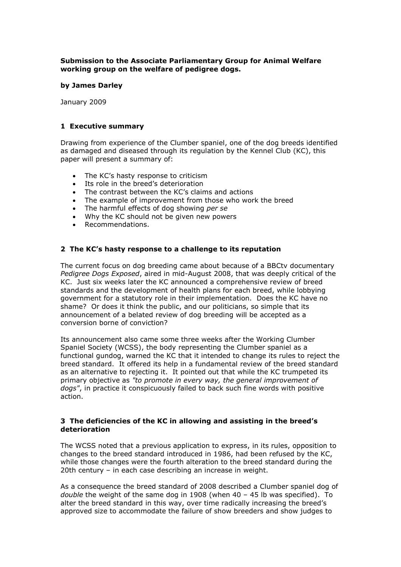## **Submission to the Associate Parliamentary Group for Animal Welfare working group on the welfare of pedigree dogs.**

#### **by James Darley**

January 2009

## **1 Executive summary**

Drawing from experience of the Clumber spaniel, one of the dog breeds identified as damaged and diseased through its regulation by the Kennel Club (KC), this paper will present a summary of:

- The KC's hasty response to criticism
- Its role in the breed's deterioration
- 
- The contrast between the KC's claims and actions<br>• The example of improvement from those who wor The example of improvement from those who work the breed
- The harmful effects of dog showing *per se*
- Why the KC should not be given new powers
- Recommendations.

# **2 The KC's hasty response to a challenge to its reputation**

The current focus on dog breeding came about because of a BBCtv documentary *Pedigree Dogs Exposed*, aired in mid-August 2008, that was deeply critical of the KC. Just six weeks later the KC announced a comprehensive review of breed standards and the development of health plans for each breed, while lobbying government for a statutory role in their implementation. Does the KC have no shame? Or does it think the public, and our politicians, so simple that its announcement of a belated review of dog breeding will be accepted as a conversion borne of conviction?

Its announcement also came some three weeks after the Working Clumber Spaniel Society (WCSS), the body representing the Clumber spaniel as a functional gundog, warned the KC that it intended to change its rules to reject the breed standard. It offered its help in a fundamental review of the breed standard as an alternative to rejecting it. It pointed out that while the KC trumpeted its primary objective as *"to promote in every way, the general improvement of dogs"*, in practice it conspicuously failed to back such fine words with positive action.

#### **3 The deficiencies of the KC in allowing and assisting in the breed's deterioration**

The WCSS noted that a previous application to express, in its rules, opposition to changes to the breed standard introduced in 1986, had been refused by the KC, while those changes were the fourth alteration to the breed standard during the 20th century – in each case describing an increase in weight.

As a consequence the breed standard of 2008 described a Clumber spaniel dog of *double* the weight of the same dog in 1908 (when 40 – 45 lb was specified). To alter the breed standard in this way, over time radically increasing the breed's approved size to accommodate the failure of show breeders and show judges to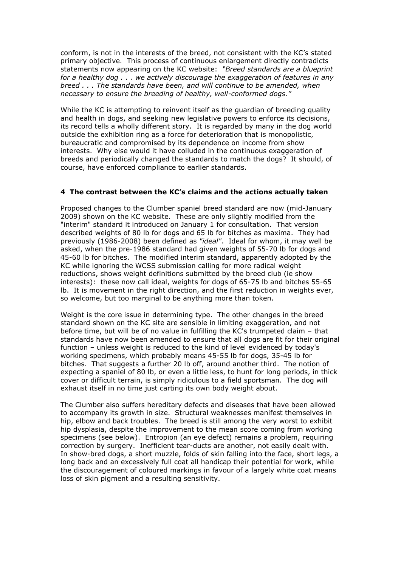conform, is not in the interests of the breed, not consistent with the KC's stated primary objective. This process of continuous enlargement directly contradicts statements now appearing on the KC website: *"Breed standards are a blueprint for a healthy dog . . . we actively discourage the exaggeration of features in any breed . . . The standards have been, and will continue to be amended, when necessary to ensure the breeding of healthy, well-conformed dogs."*

While the KC is attempting to reinvent itself as the guardian of breeding quality and health in dogs, and seeking new legislative powers to enforce its decisions, its record tells a wholly different story. It is regarded by many in the dog world outside the exhibition ring as a force for deterioration that is monopolistic, bureaucratic and compromised by its dependence on income from show interests. Why else would it have colluded in the continuous exaggeration of breeds and periodically changed the standards to match the dogs? It should, of course, have enforced compliance to earlier standards.

#### **4 The contrast between the KC's claims and the actions actually taken**

Proposed changes to the Clumber spaniel breed standard are now (mid-January 2009) shown on the KC website. These are only slightly modified from the "interim" standard it introduced on January 1 for consultation. That version described weights of 80 lb for dogs and 65 lb for bitches as maxima. They had previously (1986-2008) been defined as *"ideal"*. Ideal for whom, it may well be asked, when the pre-1986 standard had given weights of 55-70 lb for dogs and 45-60 lb for bitches. The modified interim standard, apparently adopted by the KC while ignoring the WCSS submission calling for more radical weight reductions, shows weight definitions submitted by the breed club (ie show interests): these now call ideal, weights for dogs of 65-75 lb and bitches 55-65 lb. It is movement in the right direction, and the first reduction in weights ever, so welcome, but too marginal to be anything more than token.

Weight is the core issue in determining type. The other changes in the breed standard shown on the KC site are sensible in limiting exaggeration, and not before time, but will be of no value in fulfilling the KC's trumpeted claim – that standards have now been amended to ensure that all dogs are fit for their original function – unless weight is reduced to the kind of level evidenced by today's working specimens, which probably means 45-55 lb for dogs, 35-45 lb for bitches. That suggests a further 20 lb off, around another third. The notion of expecting a spaniel of 80 lb, or even a little less, to hunt for long periods, in thick cover or difficult terrain, is simply ridiculous to a field sportsman. The dog will exhaust itself in no time just carting its own body weight about.

The Clumber also suffers hereditary defects and diseases that have been allowed to accompany its growth in size. Structural weaknesses manifest themselves in hip, elbow and back troubles. The breed is still among the very worst to exhibit hip dysplasia, despite the improvement to the mean score coming from working specimens (see below). Entropion (an eye defect) remains a problem, requiring correction by surgery. Inefficient tear-ducts are another, not easily dealt with. In show-bred dogs, a short muzzle, folds of skin falling into the face, short legs, a long back and an excessively full coat all handicap their potential for work, while the discouragement of coloured markings in favour of a largely white coat means loss of skin pigment and a resulting sensitivity.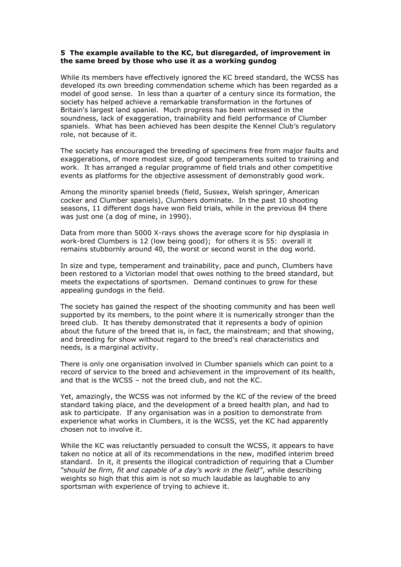#### **5 The example available to the KC, but disregarded, of improvement in the same breed by those who use it as a working gundog**

While its members have effectively ignored the KC breed standard, the WCSS has developed its own breeding commendation scheme which has been regarded as a model of good sense. In less than a quarter of a century since its formation, the society has helped achieve a remarkable transformation in the fortunes of Britain's largest land spaniel. Much progress has been witnessed in the soundness, lack of exaggeration, trainability and field performance of Clumber spaniels. What has been achieved has been despite the Kennel Club's regulatory role, not because of it.

The society has encouraged the breeding of specimens free from major faults and exaggerations, of more modest size, of good temperaments suited to training and work. It has arranged a regular programme of field trials and other competitive events as platforms for the objective assessment of demonstrably good work.

Among the minority spaniel breeds (field, Sussex, Welsh springer, American cocker and Clumber spaniels), Clumbers dominate. In the past 10 shooting seasons, 11 different dogs have won field trials, while in the previous 84 there was just one (a dog of mine, in 1990).

Data from more than 5000 X-rays shows the average score for hip dysplasia in work-bred Clumbers is 12 (low being good); for others it is 55: overall it remains stubbornly around 40, the worst or second worst in the dog world.

In size and type, temperament and trainability, pace and punch, Clumbers have been restored to a Victorian model that owes nothing to the breed standard, but meets the expectations of sportsmen. Demand continues to grow for these appealing gundogs in the field.

The society has gained the respect of the shooting community and has been well supported by its members, to the point where it is numerically stronger than the breed club. It has thereby demonstrated that it represents a body of opinion about the future of the breed that is, in fact, the mainstream; and that showing, and breeding for show without regard to the breed's real characteristics and needs, is a marginal activity.

There is only one organisation involved in Clumber spaniels which can point to a record of service to the breed and achievement in the improvement of its health, and that is the WCSS – not the breed club, and not the KC.

Yet, amazingly, the WCSS was not informed by the KC of the review of the breed standard taking place, and the development of a breed health plan, and had to ask to participate. If any organisation was in a position to demonstrate from experience what works in Clumbers, it is the WCSS, yet the KC had apparently chosen not to involve it.

While the KC was reluctantly persuaded to consult the WCSS, it appears to have taken no notice at all of its recommendations in the new, modified interim breed standard. In it, it presents the illogical contradiction of requiring that a Clumber *"should be firm, fit and capable of a day's work in the field"*, while describing weights so high that this aim is not so much laudable as laughable to any sportsman with experience of trying to achieve it.